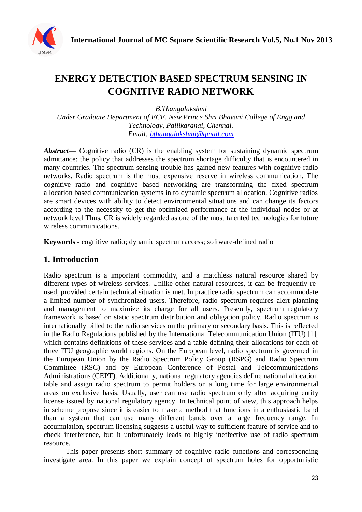

# **ENERGY DETECTION BASED SPECTRUM SENSING IN COGNITIVE RADIO NETWORK**

*B.Thangalakshmi Under Graduate Department of ECE, New Prince Shri Bhavani College of Engg and Technology, Pallikaranai, Chennai. Email: bthangalakshmi@gmail.com*

*Abstract***—** Cognitive radio (CR) is the enabling system for sustaining dynamic spectrum admittance: the policy that addresses the spectrum shortage difficulty that is encountered in many countries. The spectrum sensing trouble has gained new features with cognitive radio networks. Radio spectrum is the most expensive reserve in wireless communication. The cognitive radio and cognitive based networking are transforming the fixed spectrum allocation based communication systems in to dynamic spectrum allocation. Cognitive radios are smart devices with ability to detect environmental situations and can change its factors according to the necessity to get the optimized performance at the individual nodes or at network level Thus, CR is widely regarded as one of the most talented technologies for future wireless communications.

**Keywords -** cognitive radio; dynamic spectrum access; software-defined radio

# **1. Introduction**

Radio spectrum is a important commodity, and a matchless natural resource shared by different types of wireless services. Unlike other natural resources, it can be frequently reused, provided certain technical situation is met. In practice radio spectrum can accommodate a limited number of synchronized users. Therefore, radio spectrum requires alert planning and management to maximize its charge for all users. Presently, spectrum regulatory framework is based on static spectrum distribution and obligation policy. Radio spectrum is internationally billed to the radio services on the primary or secondary basis. This is reflected in the Radio Regulations published by the International Telecommunication Union (ITU) [1], which contains definitions of these services and a table defining their allocations for each of three ITU geographic world regions. On the European level, radio spectrum is governed in the European Union by the Radio Spectrum Policy Group (RSPG) and Radio Spectrum Committee (RSC) and by European Conference of Postal and Telecommunications Administrations (CEPT). Additionally, national regulatory agencies define national allocation table and assign radio spectrum to permit holders on a long time for large environmental areas on exclusive basis. Usually, user can use radio spectrum only after acquiring entity license issued by national regulatory agency. In technical point of view, this approach helps in scheme propose since it is easier to make a method that functions in a enthusiastic band than a system that can use many different bands over a large frequency range. In accumulation, spectrum licensing suggests a useful way to sufficient feature of service and to check interference, but it unfortunately leads to highly ineffective use of radio spectrum resource.

This paper presents short summary of cognitive radio functions and corresponding investigate area. In this paper we explain concept of spectrum holes for opportunistic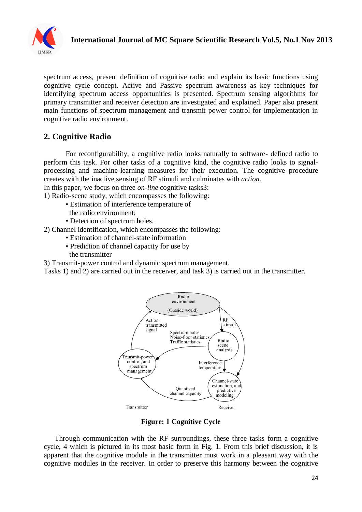

spectrum access, present definition of cognitive radio and explain its basic functions using cognitive cycle concept. Active and Passive spectrum awareness as key techniques for identifying spectrum access opportunities is presented. Spectrum sensing algorithms for primary transmitter and receiver detection are investigated and explained. Paper also present main functions of spectrum management and transmit power control for implementation in cognitive radio environment.

# **2. Cognitive Radio**

For reconfigurability, a cognitive radio looks naturally to software- defined radio to perform this task. For other tasks of a cognitive kind, the cognitive radio looks to signalprocessing and machine-learning measures for their execution. The cognitive procedure creates with the inactive sensing of RF stimuli and culminates with *action*.

In this paper, we focus on three *on-line* cognitive tasks3:

1) Radio-scene study, which encompasses the following:

- Estimation of interference temperature of
- the radio environment;
- Detection of spectrum holes.

2) Channel identification, which encompasses the following:

- Estimation of channel-state information
- Prediction of channel capacity for use by
- the transmitter

3) Transmit-power control and dynamic spectrum management.

Tasks 1) and 2) are carried out in the receiver, and task 3) is carried out in the transmitter.



#### **Figure: 1 Cognitive Cycle**

Through communication with the RF surroundings, these three tasks form a cognitive cycle, 4 which is pictured in its most basic form in Fig. 1. From this brief discussion, it is apparent that the cognitive module in the transmitter must work in a pleasant way with the cognitive modules in the receiver. In order to preserve this harmony between the cognitive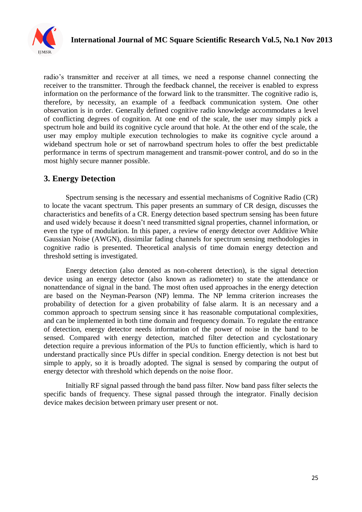

radio's transmitter and receiver at all times, we need a response channel connecting the receiver to the transmitter. Through the feedback channel, the receiver is enabled to express information on the performance of the forward link to the transmitter. The cognitive radio is, therefore, by necessity, an example of a feedback communication system. One other observation is in order. Generally defined cognitive radio knowledge accommodates a level of conflicting degrees of cognition. At one end of the scale, the user may simply pick a spectrum hole and build its cognitive cycle around that hole. At the other end of the scale, the user may employ multiple execution technologies to make its cognitive cycle around a wideband spectrum hole or set of narrowband spectrum holes to offer the best predictable performance in terms of spectrum management and transmit-power control, and do so in the most highly secure manner possible.

# **3. Energy Detection**

Spectrum sensing is the necessary and essential mechanisms of Cognitive Radio (CR) to locate the vacant spectrum. This paper presents an summary of CR design, discusses the characteristics and benefits of a CR. Energy detection based spectrum sensing has been future and used widely because it doesn't need transmitted signal properties, channel information, or even the type of modulation. In this paper, a review of energy detector over Additive White Gaussian Noise (AWGN), dissimilar fading channels for spectrum sensing methodologies in cognitive radio is presented. Theoretical analysis of time domain energy detection and threshold setting is investigated.

Energy detection (also denoted as non-coherent detection), is the signal detection device using an energy detector (also known as radiometer) to state the attendance or nonattendance of signal in the band. The most often used approaches in the energy detection are based on the Neyman-Pearson (NP) lemma. The NP lemma criterion increases the probability of detection for a given probability of false alarm. It is an necessary and a common approach to spectrum sensing since it has reasonable computational complexities, and can be implemented in both time domain and frequency domain. To regulate the entrance of detection, energy detector needs information of the power of noise in the band to be sensed. Compared with energy detection, matched filter detection and cyclostationary detection require a previous information of the PUs to function efficiently, which is hard to understand practically since PUs differ in special condition. Energy detection is not best but simple to apply, so it is broadly adopted. The signal is sensed by comparing the output of energy detector with threshold which depends on the noise floor.

Initially RF signal passed through the band pass filter. Now band pass filter selects the specific bands of frequency. These signal passed through the integrator. Finally decision device makes decision between primary user present or not.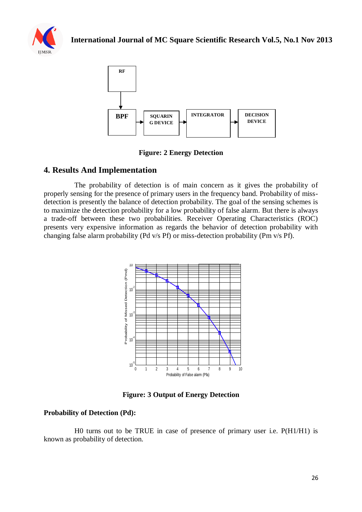



**Figure: 2 Energy Detection**

## **4. Results And Implementation**

The probability of detection is of main concern as it gives the probability of properly sensing for the presence of primary users in the frequency band. Probability of missdetection is presently the balance of detection probability. The goal of the sensing schemes is to maximize the detection probability for a low probability of false alarm. But there is always a trade-off between these two probabilities. Receiver Operating Characteristics (ROC) presents very expensive information as regards the behavior of detection probability with changing false alarm probability (Pd v/s Pf) or miss-detection probability (Pm v/s Pf).



**Figure: 3 Output of Energy Detection**

#### **Probability of Detection (Pd):**

H0 turns out to be TRUE in case of presence of primary user i.e. P(H1/H1) is known as probability of detection.